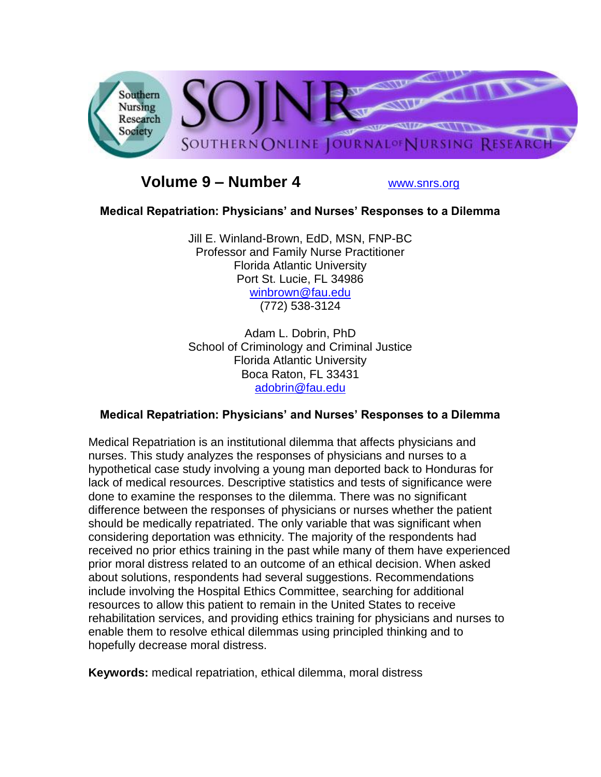

# **Volume 9 – Number 4** [www.snrs.org](http://www.snrs.org/)

### **Medical Repatriation: Physicians' and Nurses' Responses to a Dilemma**

Jill E. Winland-Brown, EdD, MSN, FNP-BC Professor and Family Nurse Practitioner Florida Atlantic University Port St. Lucie, FL 34986 [winbrown@fau.edu](mailto:winbrown@fau.edu) (772) 538-3124

Adam L. Dobrin, PhD School of Criminology and Criminal Justice Florida Atlantic University Boca Raton, FL 33431 [adobrin@fau.edu](mailto:adobrin@fau.edu)

# **Medical Repatriation: Physicians' and Nurses' Responses to a Dilemma**

Medical Repatriation is an institutional dilemma that affects physicians and nurses. This study analyzes the responses of physicians and nurses to a hypothetical case study involving a young man deported back to Honduras for lack of medical resources. Descriptive statistics and tests of significance were done to examine the responses to the dilemma. There was no significant difference between the responses of physicians or nurses whether the patient should be medically repatriated. The only variable that was significant when considering deportation was ethnicity. The majority of the respondents had received no prior ethics training in the past while many of them have experienced prior moral distress related to an outcome of an ethical decision. When asked about solutions, respondents had several suggestions. Recommendations include involving the Hospital Ethics Committee, searching for additional resources to allow this patient to remain in the United States to receive rehabilitation services, and providing ethics training for physicians and nurses to enable them to resolve ethical dilemmas using principled thinking and to hopefully decrease moral distress.

**Keywords:** medical repatriation, ethical dilemma, moral distress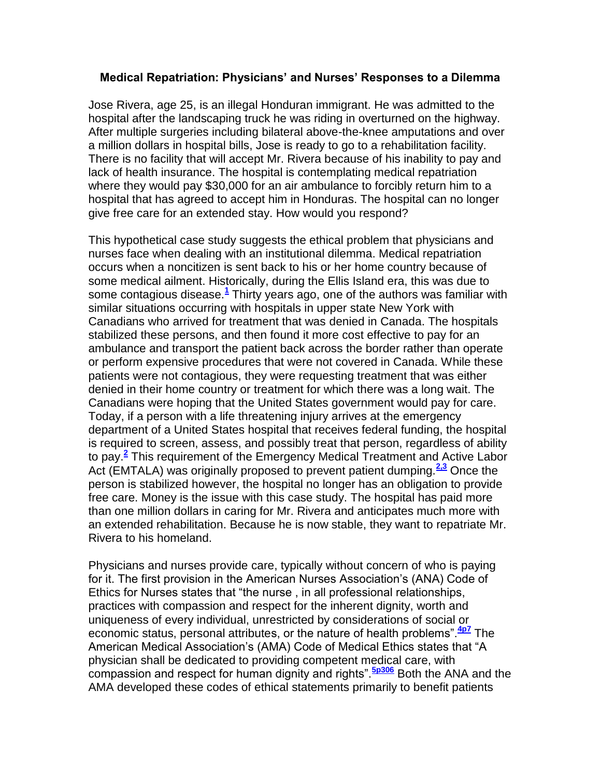#### **Medical Repatriation: Physicians' and Nurses' Responses to a Dilemma**

Jose Rivera, age 25, is an illegal Honduran immigrant. He was admitted to the hospital after the landscaping truck he was riding in overturned on the highway. After multiple surgeries including bilateral above-the-knee amputations and over a million dollars in hospital bills, Jose is ready to go to a rehabilitation facility. There is no facility that will accept Mr. Rivera because of his inability to pay and lack of health insurance. The hospital is contemplating medical repatriation where they would pay \$30,000 for an air ambulance to forcibly return him to a hospital that has agreed to accept him in Honduras. The hospital can no longer give free care for an extended stay. How would you respond?

This hypothetical case study suggests the ethical problem that physicians and nurses face when dealing with an institutional dilemma. Medical repatriation occurs when a noncitizen is sent back to his or her home country because of some medical ailment. Historically, during the Ellis Island era, this was due to some contagious disease[.](http://snrs.org/publications/SOJNR_articles2/n)**<sup>1</sup>** Thirty years ago, one of the authors was familiar with similar situations occurring with hospitals in upper state New York with Canadians who arrived for treatment that was denied in Canada. The hospitals stabilized these persons, and then found it more cost effective to pay for an ambulance and transport the patient back across the border rather than operate or perform expensive procedures that were not covered in Canada. While these patients were not contagious, they were requesting treatment that was either denied in their home country or treatment for which there was a long wait. The Canadians were hoping that the United States government would pay for care. Today, if a person with a life threatening injury arrives at the emergency department of a United States hospital that receives federal funding, the hospital is required to screen, assess, and possibly treat that person, regardless of ability to pay.**[2](http://snrs.org/publications/SOJNR_articles2/n)** This requirement of the Emergency Medical Treatment and Active Labor Act (EMTALA) was originally proposed to prevent patient dumping.**[2,3](http://snrs.org/publications/SOJNR_articles2/n)** Once the person is stabilized however, the hospital no longer has an obligation to provide free care. Money is the issue with this case study. The hospital has paid more than one million dollars in caring for Mr. Rivera and anticipates much more with an extended rehabilitation. Because he is now stable, they want to repatriate Mr. Rivera to his homeland.

Physicians and nurses provide care, typically without concern of who is paying for it. The first provision in the American Nurses Association"s (ANA) Code of Ethics for Nurses states that "the nurse , in all professional relationships, practices with compassion and respect for the inherent dignity, worth and uniqueness of every individual, unrestricted by considerations of social or economic status, personal attributes, or the nature of health problems".**[4p7](http://snrs.org/publications/SOJNR_articles2/n)** The American Medical Association"s (AMA) Code of Medical Ethics states that "A physician shall be dedicated to providing competent medical care, with compassion and respect for human dignity and rights".**[5p306](http://snrs.org/publications/SOJNR_articles2/n)** Both the ANA and the AMA developed these codes of ethical statements primarily to benefit patients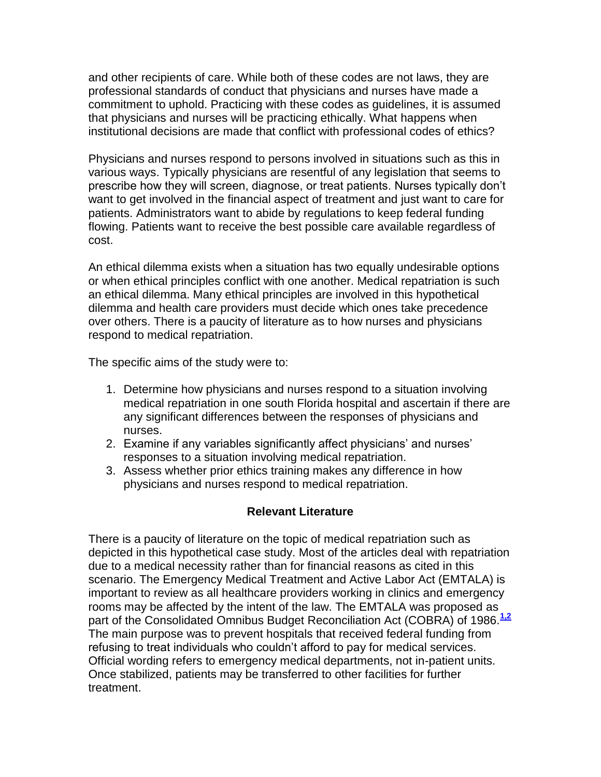and other recipients of care. While both of these codes are not laws, they are professional standards of conduct that physicians and nurses have made a commitment to uphold. Practicing with these codes as guidelines, it is assumed that physicians and nurses will be practicing ethically. What happens when institutional decisions are made that conflict with professional codes of ethics?

Physicians and nurses respond to persons involved in situations such as this in various ways. Typically physicians are resentful of any legislation that seems to prescribe how they will screen, diagnose, or treat patients. Nurses typically don"t want to get involved in the financial aspect of treatment and just want to care for patients. Administrators want to abide by regulations to keep federal funding flowing. Patients want to receive the best possible care available regardless of cost.

An ethical dilemma exists when a situation has two equally undesirable options or when ethical principles conflict with one another. Medical repatriation is such an ethical dilemma. Many ethical principles are involved in this hypothetical dilemma and health care providers must decide which ones take precedence over others. There is a paucity of literature as to how nurses and physicians respond to medical repatriation.

The specific aims of the study were to:

- 1. Determine how physicians and nurses respond to a situation involving medical repatriation in one south Florida hospital and ascertain if there are any significant differences between the responses of physicians and nurses.
- 2. Examine if any variables significantly affect physicians' and nurses' responses to a situation involving medical repatriation.
- 3. Assess whether prior ethics training makes any difference in how physicians and nurses respond to medical repatriation.

### **Relevant Literature**

There is a paucity of literature on the topic of medical repatriation such as depicted in this hypothetical case study. Most of the articles deal with repatriation due to a medical necessity rather than for financial reasons as cited in this scenario. The Emergency Medical Treatment and Active Labor Act (EMTALA) is important to review as all healthcare providers working in clinics and emergency rooms may be affected by the intent of the law. The EMTALA was proposed as part of the Consolidated Omnibus Budget Reconciliation Act (COBRA) of 1986.<sup>[1,2](http://snrs.org/publications/SOJNR_articles2/n)</sup> The main purpose was to prevent hospitals that received federal funding from refusing to treat individuals who couldn"t afford to pay for medical services. Official wording refers to emergency medical departments, not in-patient units. Once stabilized, patients may be transferred to other facilities for further treatment.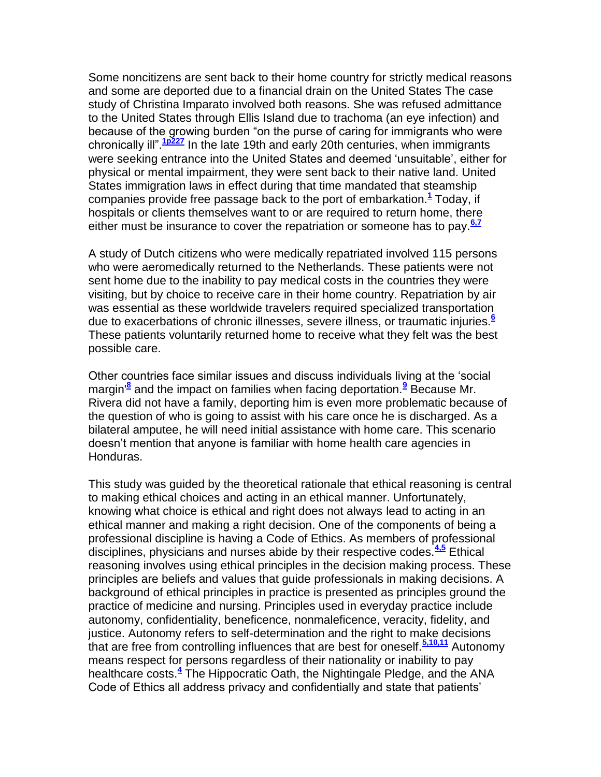Some noncitizens are sent back to their home country for strictly medical reasons and some are deported due to a financial drain on the United States The case study of Christina Imparato involved both reasons. She was refused admittance to the United States through Ellis Island due to trachoma (an eye infection) and because of the growing burden "on the purse of caring for immigrants who were chronically ill".**[1p227](http://snrs.org/publications/SOJNR_articles2/n)** In the late 19th and early 20th centuries, when immigrants were seeking entrance into the United States and deemed "unsuitable", either for physical or mental impairment, they were sent back to their native land. United States immigration laws in effect during that time mandated that steamship companies provide free passage back to the port of embarkation.**[1](http://snrs.org/publications/SOJNR_articles2/n)** Today, if hospitals or clients themselves want to or are required to return home, there either must be insurance to cover the repatriation or someone has to pay.**[6,7](http://snrs.org/publications/SOJNR_articles2/n)**

A study of Dutch citizens who were medically repatriated involved 115 persons who were aeromedically returned to the Netherlands. These patients were not sent home due to the inability to pay medical costs in the countries they were visiting, but by choice to receive care in their home country. Repatriation by air was essential as these worldwide travelers required specialized transportation due to exacerbations of chronic illnesses, severe illness, or traumatic injuries.**[6](http://snrs.org/publications/SOJNR_articles2/n)** These patients voluntarily returned home to receive what they felt was the best possible care.

Other countries face similar issues and discuss individuals living at the "social margin'**[8](http://snrs.org/publications/SOJNR_articles2/n)** and the impact on families when facing deportation.**[9](http://snrs.org/publications/SOJNR_articles2/n)** Because Mr. Rivera did not have a family, deporting him is even more problematic because of the question of who is going to assist with his care once he is discharged. As a bilateral amputee, he will need initial assistance with home care. This scenario doesn"t mention that anyone is familiar with home health care agencies in Honduras.

This study was guided by the theoretical rationale that ethical reasoning is central to making ethical choices and acting in an ethical manner. Unfortunately, knowing what choice is ethical and right does not always lead to acting in an ethical manner and making a right decision. One of the components of being a professional discipline is having a Code of Ethics. As members of professional disciplines, physicians and nurses abide by their respective codes.**[4,5](http://snrs.org/publications/SOJNR_articles2/n)** Ethical reasoning involves using ethical principles in the decision making process. These principles are beliefs and values that guide professionals in making decisions. A background of ethical principles in practice is presented as principles ground the practice of medicine and nursing. Principles used in everyday practice include autonomy, confidentiality, beneficence, nonmaleficence, veracity, fidelity, and justice. Autonomy refers to self-determination and the right to make decisions that are free from controlling influences that are best for oneself.**[5,10,11](http://snrs.org/publications/SOJNR_articles2/n)** Autonomy means respect for persons regardless of their nationality or inability to pay healthcare costs[.](http://snrs.org/publications/SOJNR_articles2/n)**<sup>4</sup>** The Hippocratic Oath, the Nightingale Pledge, and the ANA Code of Ethics all address privacy and confidentially and state that patients"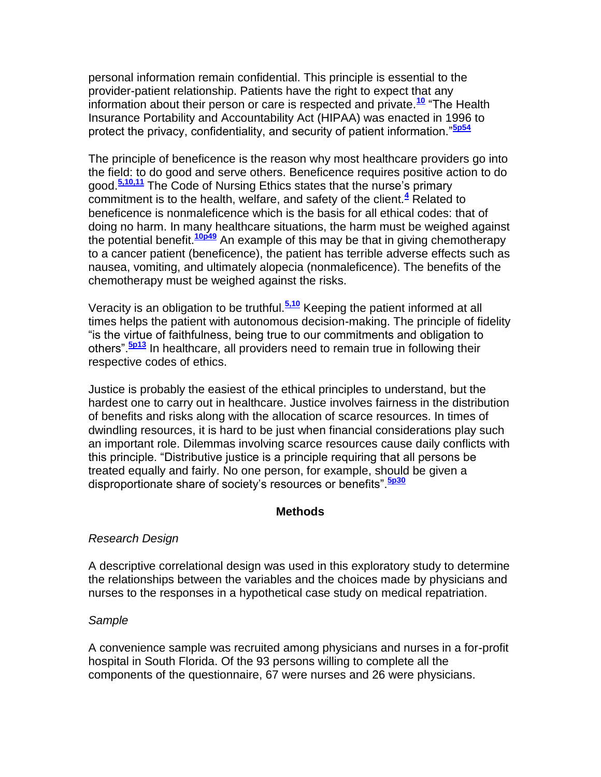personal information remain confidential. This principle is essential to the provider-patient relationship. Patients have the right to expect that any information about their person or care is respected and private.**[10](http://snrs.org/publications/SOJNR_articles2/n)** "The Health Insurance Portability and Accountability Act (HIPAA) was enacted in 1996 to protect the privacy, confidentiality, and security of patient information."**[5p54](http://snrs.org/publications/SOJNR_articles2/n)**

The principle of beneficence is the reason why most healthcare providers go into the field: to do good and serve others. Beneficence requires positive action to do good.**[5,10,11](http://snrs.org/publications/SOJNR_articles2/n)** The Code of Nursing Ethics states that the nurse"s primary commitment is to the health, welfare, and safety of the client.**[4](http://snrs.org/publications/SOJNR_articles2/n)** Related to beneficence is nonmaleficence which is the basis for all ethical codes: that of doing no harm. In many healthcare situations, the harm must be weighed against the potential benefit.**[10p49](http://snrs.org/publications/SOJNR_articles2/n)** An example of this may be that in giving chemotherapy to a cancer patient (beneficence), the patient has terrible adverse effects such as nausea, vomiting, and ultimately alopecia (nonmaleficence). The benefits of the chemotherapy must be weighed against the risks.

Veracity is an obligation to be truthful.**[5,10](http://snrs.org/publications/SOJNR_articles2/n)** Keeping the patient informed at all times helps the patient with autonomous decision-making. The principle of fidelity "is the virtue of faithfulness, being true to our commitments and obligation to others".**[5p13](http://snrs.org/publications/SOJNR_articles2/n)** In healthcare, all providers need to remain true in following their respective codes of ethics.

Justice is probably the easiest of the ethical principles to understand, but the hardest one to carry out in healthcare. Justice involves fairness in the distribution of benefits and risks along with the allocation of scarce resources. In times of dwindling resources, it is hard to be just when financial considerations play such an important role. Dilemmas involving scarce resources cause daily conflicts with this principle. "Distributive justice is a principle requiring that all persons be treated equally and fairly. No one person, for example, should be given a disproportionate share of society"s resources or benefits".**[5p30](http://snrs.org/publications/SOJNR_articles2/n)**

### **Methods**

### *Research Design*

A descriptive correlational design was used in this exploratory study to determine the relationships between the variables and the choices made by physicians and nurses to the responses in a hypothetical case study on medical repatriation.

#### *Sample*

A convenience sample was recruited among physicians and nurses in a for-profit hospital in South Florida. Of the 93 persons willing to complete all the components of the questionnaire, 67 were nurses and 26 were physicians.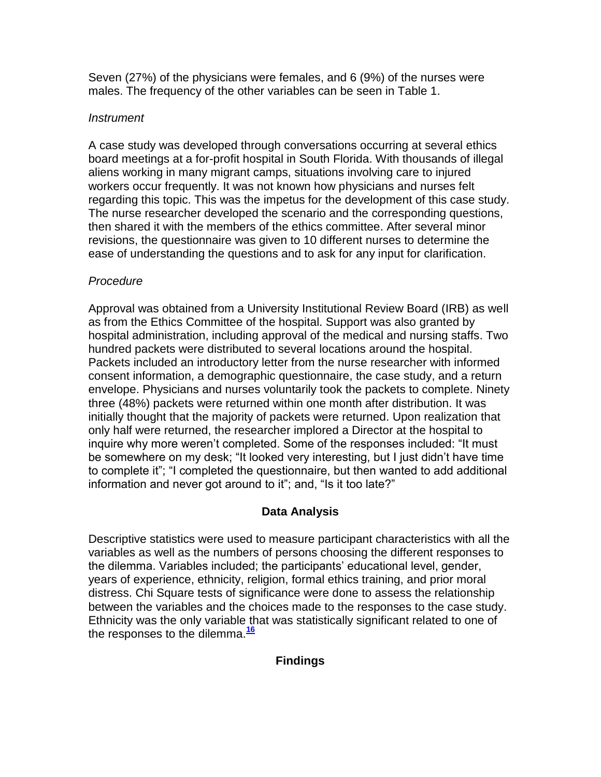Seven (27%) of the physicians were females, and 6 (9%) of the nurses were males. The frequency of the other variables can be seen in Table 1.

## *Instrument*

A case study was developed through conversations occurring at several ethics board meetings at a for-profit hospital in South Florida. With thousands of illegal aliens working in many migrant camps, situations involving care to injured workers occur frequently. It was not known how physicians and nurses felt regarding this topic. This was the impetus for the development of this case study. The nurse researcher developed the scenario and the corresponding questions, then shared it with the members of the ethics committee. After several minor revisions, the questionnaire was given to 10 different nurses to determine the ease of understanding the questions and to ask for any input for clarification.

# *Procedure*

Approval was obtained from a University Institutional Review Board (IRB) as well as from the Ethics Committee of the hospital. Support was also granted by hospital administration, including approval of the medical and nursing staffs. Two hundred packets were distributed to several locations around the hospital. Packets included an introductory letter from the nurse researcher with informed consent information, a demographic questionnaire, the case study, and a return envelope. Physicians and nurses voluntarily took the packets to complete. Ninety three (48%) packets were returned within one month after distribution. It was initially thought that the majority of packets were returned. Upon realization that only half were returned, the researcher implored a Director at the hospital to inquire why more weren"t completed. Some of the responses included: "It must be somewhere on my desk; "It looked very interesting, but I just didn"t have time to complete it"; "I completed the questionnaire, but then wanted to add additional information and never got around to it"; and, "Is it too late?"

# **Data Analysis**

Descriptive statistics were used to measure participant characteristics with all the variables as well as the numbers of persons choosing the different responses to the dilemma. Variables included; the participants" educational level, gender, years of experience, ethnicity, religion, formal ethics training, and prior moral distress. Chi Square tests of significance were done to assess the relationship between the variables and the choices made to the responses to the case study. Ethnicity was the only variable that was statistically significant related to one of the responses to the dilemma.**[16](http://snrs.org/publications/SOJNR_articles2/n)**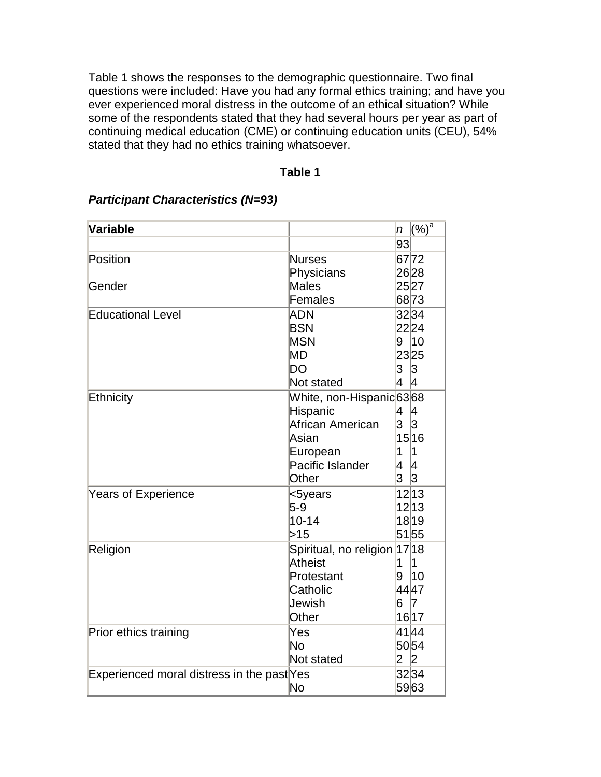Table 1 shows the responses to the demographic questionnaire. Two final questions were included: Have you had any formal ethics training; and have you ever experienced moral distress in the outcome of an ethical situation? While some of the respondents stated that they had several hours per year as part of continuing medical education (CME) or continuing education units (CEU), 54% stated that they had no ethics training whatsoever.

#### **Table 1**

| <b>Variable</b>                            |                             |                | $(\sqrt[6]{\circ})^a$ |
|--------------------------------------------|-----------------------------|----------------|-----------------------|
|                                            |                             | 93             |                       |
| Position                                   | <b>Nurses</b>               |                | 6772                  |
|                                            | Physicians                  |                | 2628                  |
| Gender                                     | <b>Males</b>                |                | 2527                  |
|                                            | Females                     |                | 6873                  |
| <b>Educational Level</b>                   | <b>ADN</b><br><b>BSN</b>    |                | 32 34                 |
|                                            |                             |                | 2224                  |
|                                            | <b>MSN</b>                  |                | 9 10                  |
|                                            | <b>MD</b>                   |                | 2325                  |
|                                            | DO                          | 3<br>4         | 3                     |
|                                            | Not stated                  |                | 4                     |
| Ethnicity                                  | White, non-Hispanic6368     |                |                       |
|                                            | Hispanic                    | 4              | 4                     |
|                                            | African American            | 3              | 3                     |
|                                            | Asian                       |                | 15 16                 |
|                                            | European                    | 1              | 1                     |
|                                            | Pacific Islander            | 4              | 4                     |
|                                            | Other                       | 3              | 3                     |
| <b>Years of Experience</b>                 | <5years                     |                | 12 13                 |
|                                            | $5 - 9$                     |                | 12 13                 |
|                                            | $10 - 14$                   |                | 1819                  |
|                                            | >15                         |                | 5155                  |
| Religion                                   | Spiritual, no religion 1718 |                |                       |
|                                            | <b>Atheist</b>              | 1              | 1                     |
|                                            | Protestant                  | 9              | 10                    |
|                                            | Catholic                    |                | 4447                  |
|                                            | Jewish                      | 6              | $\vert$ 7             |
|                                            | Other                       |                | 16 17                 |
| Prior ethics training                      | Yes                         |                | 4144                  |
|                                            | <b>No</b>                   |                | 5054                  |
|                                            | Not stated                  | $\overline{2}$ | 2                     |
| Experienced moral distress in the past Yes |                             |                | 3234                  |
|                                            | No                          |                | 5963                  |

### *Participant Characteristics (N=93)*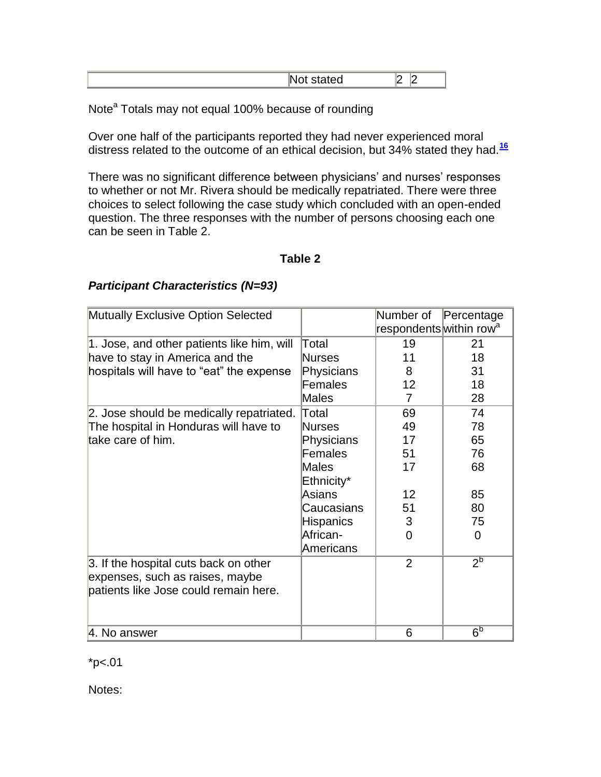|--|

Note<sup>a</sup> Totals may not equal 100% because of rounding

Over one half of the participants reported they had never experienced moral distress related to the outcome of an ethical decision, but 34% stated they had.**[16](http://snrs.org/publications/SOJNR_articles2/n)**

There was no significant difference between physicians' and nurses' responses to whether or not Mr. Rivera should be medically repatriated. There were three choices to select following the case study which concluded with an open-ended question. The three responses with the number of persons choosing each one can be seen in Table 2.

### **Table 2**

| Mutually Exclusive Option Selected         |            | Number of                           | Percentage     |
|--------------------------------------------|------------|-------------------------------------|----------------|
|                                            |            | respondents within row <sup>a</sup> |                |
| 1. Jose, and other patients like him, will | Total      | 19                                  | 21             |
| have to stay in America and the            | Nurses     | 11                                  | 18             |
| hospitals will have to "eat" the expense   | Physicians | 8                                   | 31             |
|                                            | Females    | 12                                  | 18             |
|                                            | Males      | 7                                   | 28             |
| 2. Jose should be medically repatriated.   | Total      | 69                                  | 74             |
| The hospital in Honduras will have to      | Nurses     | 49                                  | 78             |
| take care of him.                          | Physicians | 17                                  | 65             |
|                                            | Females    | 51                                  | 76             |
|                                            | Males      | 17                                  | 68             |
|                                            | Ethnicity* |                                     |                |
|                                            | Asians     | 12                                  | 85             |
|                                            | Caucasians | 51                                  | 80             |
|                                            | Hispanics  | 3                                   | 75             |
|                                            | African-   | 0                                   | 0              |
|                                            | Americans  |                                     |                |
| 3. If the hospital cuts back on other      |            | $\overline{2}$                      | $2^b$          |
| expenses, such as raises, maybe            |            |                                     |                |
| patients like Jose could remain here.      |            |                                     |                |
|                                            |            |                                     |                |
|                                            |            |                                     |                |
| 4. No answer                               |            | 6                                   | 6 <sup>b</sup> |

### *Participant Characteristics (N=93)*

 $*p<.01$ 

Notes: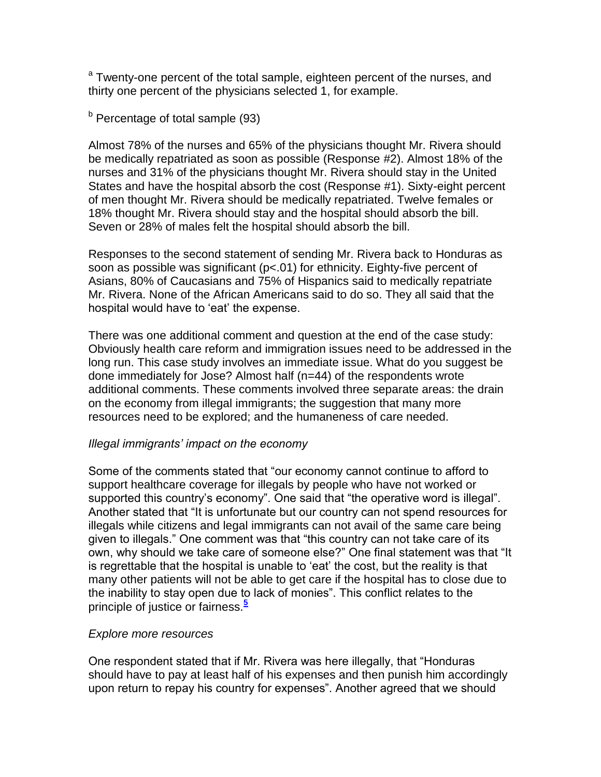<sup>a</sup> Twenty-one percent of the total sample, eighteen percent of the nurses, and thirty one percent of the physicians selected 1, for example.

 $<sup>b</sup>$  Percentage of total sample (93)</sup>

Almost 78% of the nurses and 65% of the physicians thought Mr. Rivera should be medically repatriated as soon as possible (Response #2). Almost 18% of the nurses and 31% of the physicians thought Mr. Rivera should stay in the United States and have the hospital absorb the cost (Response #1). Sixty-eight percent of men thought Mr. Rivera should be medically repatriated. Twelve females or 18% thought Mr. Rivera should stay and the hospital should absorb the bill. Seven or 28% of males felt the hospital should absorb the bill.

Responses to the second statement of sending Mr. Rivera back to Honduras as soon as possible was significant (p<.01) for ethnicity. Eighty-five percent of Asians, 80% of Caucasians and 75% of Hispanics said to medically repatriate Mr. Rivera. None of the African Americans said to do so. They all said that the hospital would have to 'eat' the expense.

There was one additional comment and question at the end of the case study: Obviously health care reform and immigration issues need to be addressed in the long run. This case study involves an immediate issue. What do you suggest be done immediately for Jose? Almost half (n=44) of the respondents wrote additional comments. These comments involved three separate areas: the drain on the economy from illegal immigrants; the suggestion that many more resources need to be explored; and the humaneness of care needed.

### *Illegal immigrants' impact on the economy*

Some of the comments stated that "our economy cannot continue to afford to support healthcare coverage for illegals by people who have not worked or supported this country's economy". One said that "the operative word is illegal". Another stated that "It is unfortunate but our country can not spend resources for illegals while citizens and legal immigrants can not avail of the same care being given to illegals." One comment was that "this country can not take care of its own, why should we take care of someone else?" One final statement was that "It is regrettable that the hospital is unable to "eat" the cost, but the reality is that many other patients will not be able to get care if the hospital has to close due to the inability to stay open due to lack of monies". This conflict relates to the principle of justice or fairness.**[5](http://snrs.org/publications/SOJNR_articles2/n)**

### *Explore more resources*

One respondent stated that if Mr. Rivera was here illegally, that "Honduras should have to pay at least half of his expenses and then punish him accordingly upon return to repay his country for expenses". Another agreed that we should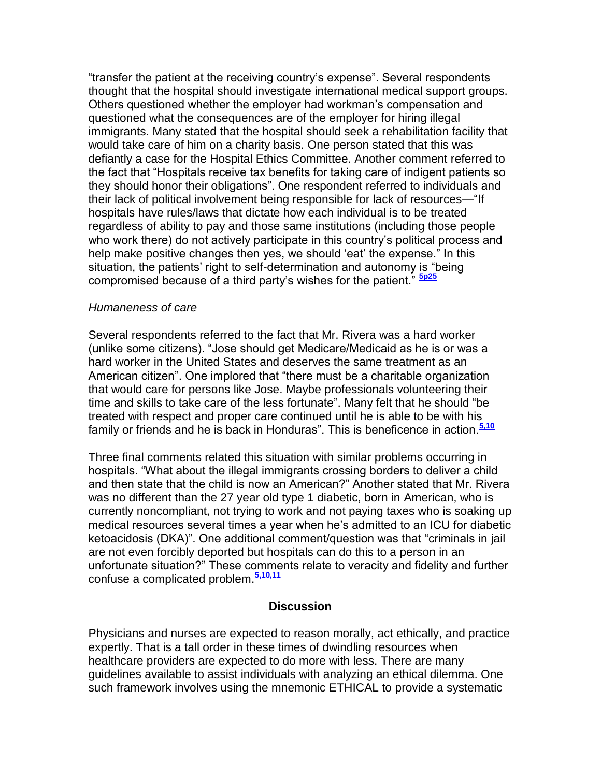"transfer the patient at the receiving country"s expense". Several respondents thought that the hospital should investigate international medical support groups. Others questioned whether the employer had workman"s compensation and questioned what the consequences are of the employer for hiring illegal immigrants. Many stated that the hospital should seek a rehabilitation facility that would take care of him on a charity basis. One person stated that this was defiantly a case for the Hospital Ethics Committee. Another comment referred to the fact that "Hospitals receive tax benefits for taking care of indigent patients so they should honor their obligations". One respondent referred to individuals and their lack of political involvement being responsible for lack of resources—"If hospitals have rules/laws that dictate how each individual is to be treated regardless of ability to pay and those same institutions (including those people who work there) do not actively participate in this country's political process and help make positive changes then yes, we should "eat" the expense." In this situation, the patients' right to self-determination and autonomy is "being compromised because of a third party"s wishes for the patient." **[5p25](http://snrs.org/publications/SOJNR_articles2/n)**

#### *Humaneness of care*

Several respondents referred to the fact that Mr. Rivera was a hard worker (unlike some citizens). "Jose should get Medicare/Medicaid as he is or was a hard worker in the United States and deserves the same treatment as an American citizen". One implored that "there must be a charitable organization that would care for persons like Jose. Maybe professionals volunteering their time and skills to take care of the less fortunate". Many felt that he should "be treated with respect and proper care continued until he is able to be with his family or friends and he is back in Honduras". This is beneficence in action.**[5,10](http://snrs.org/publications/SOJNR_articles2/n)**

Three final comments related this situation with similar problems occurring in hospitals. "What about the illegal immigrants crossing borders to deliver a child and then state that the child is now an American?" Another stated that Mr. Rivera was no different than the 27 year old type 1 diabetic, born in American, who is currently noncompliant, not trying to work and not paying taxes who is soaking up medical resources several times a year when he"s admitted to an ICU for diabetic ketoacidosis (DKA)". One additional comment/question was that "criminals in jail are not even forcibly deported but hospitals can do this to a person in an unfortunate situation?" These comments relate to veracity and fidelity and further confuse a complicated problem.**[5,10,11](http://snrs.org/publications/SOJNR_articles2/n)**

#### **Discussion**

Physicians and nurses are expected to reason morally, act ethically, and practice expertly. That is a tall order in these times of dwindling resources when healthcare providers are expected to do more with less. There are many guidelines available to assist individuals with analyzing an ethical dilemma. One such framework involves using the mnemonic ETHICAL to provide a systematic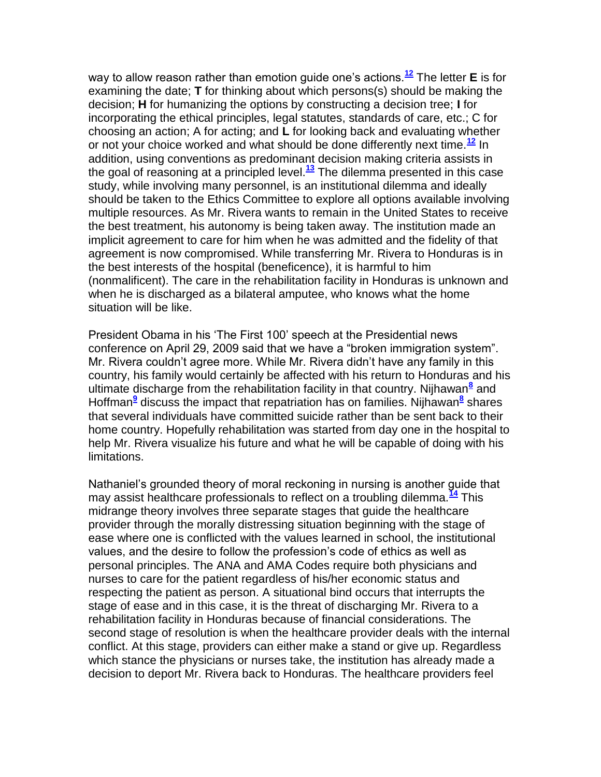way to allow reason rather than emotion guide one"s actions.**[12](http://snrs.org/publications/SOJNR_articles2/n)** The letter **E** is for examining the date; **T** for thinking about which persons(s) should be making the decision; **H** for humanizing the options by constructing a decision tree; **I** for incorporating the ethical principles, legal statutes, standards of care, etc.; C for choosing an action; A for acting; and **L** for looking back and evaluating whether or not your choice worked and what should be done differently next time.**[12](http://snrs.org/publications/SOJNR_articles2/n)** In addition, using conventions as predominant decision making criteria assists in the goal of reasoning at a principled level.**[13](http://snrs.org/publications/SOJNR_articles2/n)** The dilemma presented in this case study, while involving many personnel, is an institutional dilemma and ideally should be taken to the Ethics Committee to explore all options available involving multiple resources. As Mr. Rivera wants to remain in the United States to receive the best treatment, his autonomy is being taken away. The institution made an implicit agreement to care for him when he was admitted and the fidelity of that agreement is now compromised. While transferring Mr. Rivera to Honduras is in the best interests of the hospital (beneficence), it is harmful to him (nonmalificent). The care in the rehabilitation facility in Honduras is unknown and when he is discharged as a bilateral amputee, who knows what the home situation will be like.

President Obama in his "The First 100" speech at the Presidential news conference on April 29, 2009 said that we have a "broken immigration system". Mr. Rivera couldn"t agree more. While Mr. Rivera didn"t have any family in this country, his family would certainly be affected with his return to Honduras and his ultimate discharge from the rehabilitation facility in that country. Nijhawan**[8](http://snrs.org/publications/SOJNR_articles2/n)** and Hoffman**[9](http://snrs.org/publications/SOJNR_articles2/n)** discuss the impact that repatriation has on families. Nijhawan**[8](http://snrs.org/publications/SOJNR_articles2/n)** shares that several individuals have committed suicide rather than be sent back to their home country. Hopefully rehabilitation was started from day one in the hospital to help Mr. Rivera visualize his future and what he will be capable of doing with his limitations.

Nathaniel"s grounded theory of moral reckoning in nursing is another guide that may assist healthcare professionals to reflect on a troubling dilemma.**[14](http://snrs.org/publications/SOJNR_articles2/n)** This midrange theory involves three separate stages that guide the healthcare provider through the morally distressing situation beginning with the stage of ease where one is conflicted with the values learned in school, the institutional values, and the desire to follow the profession"s code of ethics as well as personal principles. The ANA and AMA Codes require both physicians and nurses to care for the patient regardless of his/her economic status and respecting the patient as person. A situational bind occurs that interrupts the stage of ease and in this case, it is the threat of discharging Mr. Rivera to a rehabilitation facility in Honduras because of financial considerations. The second stage of resolution is when the healthcare provider deals with the internal conflict. At this stage, providers can either make a stand or give up. Regardless which stance the physicians or nurses take, the institution has already made a decision to deport Mr. Rivera back to Honduras. The healthcare providers feel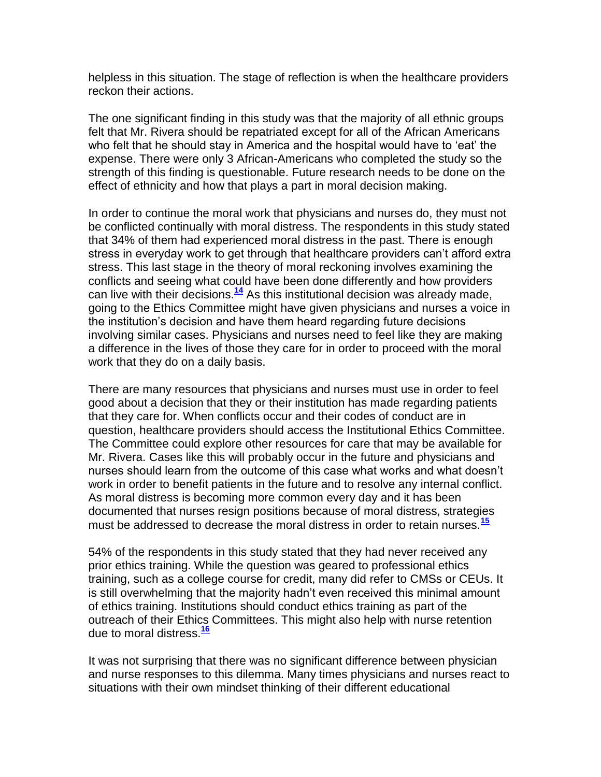helpless in this situation. The stage of reflection is when the healthcare providers reckon their actions.

The one significant finding in this study was that the majority of all ethnic groups felt that Mr. Rivera should be repatriated except for all of the African Americans who felt that he should stay in America and the hospital would have to "eat" the expense. There were only 3 African-Americans who completed the study so the strength of this finding is questionable. Future research needs to be done on the effect of ethnicity and how that plays a part in moral decision making.

In order to continue the moral work that physicians and nurses do, they must not be conflicted continually with moral distress. The respondents in this study stated that 34% of them had experienced moral distress in the past. There is enough stress in everyday work to get through that healthcare providers can"t afford extra stress. This last stage in the theory of moral reckoning involves examining the conflicts and seeing what could have been done differently and how providers can live with their decisions.**[14](http://snrs.org/publications/SOJNR_articles2/n)** As this institutional decision was already made, going to the Ethics Committee might have given physicians and nurses a voice in the institution"s decision and have them heard regarding future decisions involving similar cases. Physicians and nurses need to feel like they are making a difference in the lives of those they care for in order to proceed with the moral work that they do on a daily basis.

There are many resources that physicians and nurses must use in order to feel good about a decision that they or their institution has made regarding patients that they care for. When conflicts occur and their codes of conduct are in question, healthcare providers should access the Institutional Ethics Committee. The Committee could explore other resources for care that may be available for Mr. Rivera. Cases like this will probably occur in the future and physicians and nurses should learn from the outcome of this case what works and what doesn"t work in order to benefit patients in the future and to resolve any internal conflict. As moral distress is becoming more common every day and it has been documented that nurses resign positions because of moral distress, strategies must be addressed to decrease the moral distress in order to retain nurses.**[15](http://snrs.org/publications/SOJNR_articles2/n)**

54% of the respondents in this study stated that they had never received any prior ethics training. While the question was geared to professional ethics training, such as a college course for credit, many did refer to CMSs or CEUs. It is still overwhelming that the majority hadn"t even received this minimal amount of ethics training. Institutions should conduct ethics training as part of the outreach of their Ethics Committees. This might also help with nurse retention due to moral distress.**[16](http://snrs.org/publications/SOJNR_articles2/n)**

It was not surprising that there was no significant difference between physician and nurse responses to this dilemma. Many times physicians and nurses react to situations with their own mindset thinking of their different educational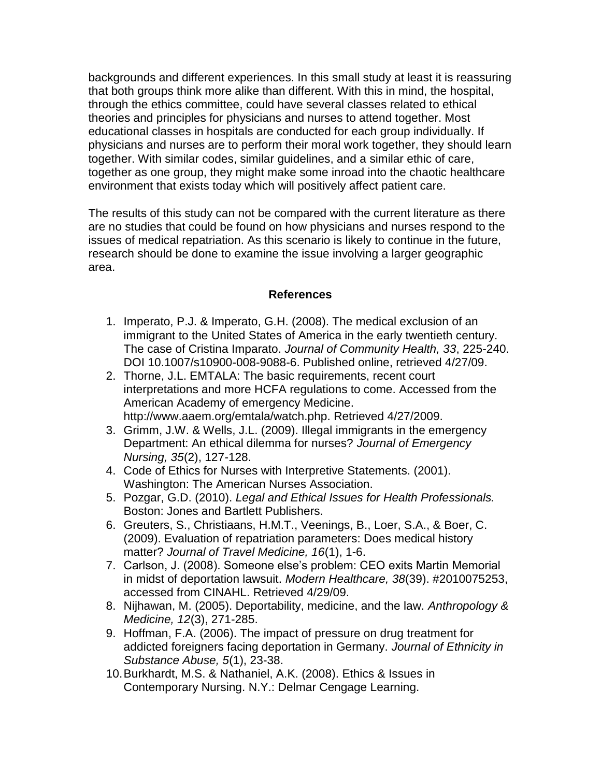backgrounds and different experiences. In this small study at least it is reassuring that both groups think more alike than different. With this in mind, the hospital, through the ethics committee, could have several classes related to ethical theories and principles for physicians and nurses to attend together. Most educational classes in hospitals are conducted for each group individually. If physicians and nurses are to perform their moral work together, they should learn together. With similar codes, similar guidelines, and a similar ethic of care, together as one group, they might make some inroad into the chaotic healthcare environment that exists today which will positively affect patient care.

The results of this study can not be compared with the current literature as there are no studies that could be found on how physicians and nurses respond to the issues of medical repatriation. As this scenario is likely to continue in the future, research should be done to examine the issue involving a larger geographic area.

### **References**

- 1. Imperato, P.J. & Imperato, G.H. (2008). The medical exclusion of an immigrant to the United States of America in the early twentieth century. The case of Cristina Imparato. *Journal of Community Health, 33*, 225-240. DOI 10.1007/s10900-008-9088-6. Published online, retrieved 4/27/09.
- 2. Thorne, J.L. EMTALA: The basic requirements, recent court interpretations and more HCFA regulations to come. Accessed from the American Academy of emergency Medicine. http://www.aaem.org/emtala/watch.php. Retrieved 4/27/2009.
- 3. Grimm, J.W. & Wells, J.L. (2009). Illegal immigrants in the emergency Department: An ethical dilemma for nurses? *Journal of Emergency Nursing, 35*(2), 127-128.
- 4. Code of Ethics for Nurses with Interpretive Statements. (2001). Washington: The American Nurses Association.
- 5. Pozgar, G.D. (2010). *Legal and Ethical Issues for Health Professionals.* Boston: Jones and Bartlett Publishers.
- 6. Greuters, S., Christiaans, H.M.T., Veenings, B., Loer, S.A., & Boer, C. (2009). Evaluation of repatriation parameters: Does medical history matter? *Journal of Travel Medicine, 16*(1), 1-6.
- 7. Carlson, J. (2008). Someone else"s problem: CEO exits Martin Memorial in midst of deportation lawsuit. *Modern Healthcare, 38*(39). #2010075253, accessed from CINAHL. Retrieved 4/29/09.
- 8. Nijhawan, M. (2005). Deportability, medicine, and the law. *Anthropology & Medicine, 12*(3), 271-285.
- 9. Hoffman, F.A. (2006). The impact of pressure on drug treatment for addicted foreigners facing deportation in Germany. *Journal of Ethnicity in Substance Abuse, 5*(1), 23-38.
- 10.Burkhardt, M.S. & Nathaniel, A.K. (2008). Ethics & Issues in Contemporary Nursing. N.Y.: Delmar Cengage Learning.